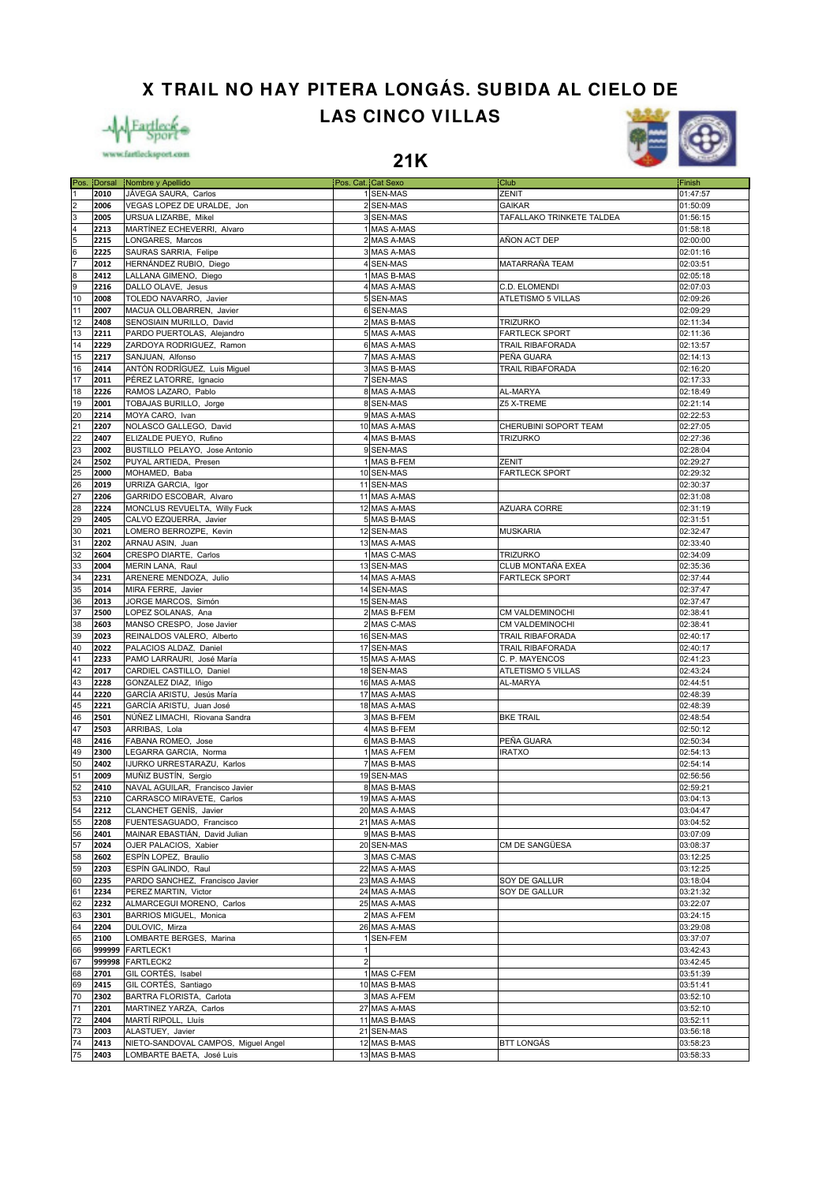**X TRAIL NO HAY PITERA LONGÁS. SUBIDA AL CIELO DE**

**LAS CINCO VILLAS**





**21K**

|                                                         |        | Pos. Dorsal Nombre y Apellido       | Pos. Cat. Cat Sexo      |              | <b>Club</b>                      | Finish   |
|---------------------------------------------------------|--------|-------------------------------------|-------------------------|--------------|----------------------------------|----------|
|                                                         |        |                                     |                         |              |                                  |          |
|                                                         | 2010   | JÁVEGA SAURA, Carlos                |                         | 1 SEN-MAS    | ZENIT                            | 01:47:57 |
|                                                         | 2006   | VEGAS LOPEZ DE URALDE, Jon          |                         | 2 SEN-MAS    | <b>GAIKAR</b>                    | 01:50:09 |
|                                                         | 2005   | URSUA LIZARBE, Mikel                |                         | 3 SEN-MAS    | <b>TAFALLAKO TRINKETE TALDEA</b> | 01:56:15 |
|                                                         | 2213   | MARTÍNEZ ECHEVERRI, Alvaro          |                         | 1 MAS A-MAS  |                                  | 01:58:18 |
|                                                         | 2215   | LONGARES, Marcos                    |                         | 2 MAS A-MAS  | AÑON ACT DEP                     | 02:00:00 |
| $\frac{2}{4}$ $\frac{3}{5}$ $\frac{4}{6}$ $\frac{5}{7}$ | 2225   | SAURAS SARRIA, Felipe               |                         | 3 MAS A-MAS  |                                  | 02:01:16 |
|                                                         | 2012   | HERNÁNDEZ RUBIO, Diego              |                         | 4 SEN-MAS    | MATARRAÑA TEAM                   | 02:03:51 |
| 8                                                       | 2412   | LALLANA GIMENO, Diego               |                         | 1 MAS B-MAS  |                                  | 02:05:18 |
| 9                                                       | 2216   | DALLO OLAVE, Jesus                  |                         | 4 MAS A-MAS  |                                  | 02:07:03 |
|                                                         |        |                                     |                         |              | C.D. ELOMENDI                    |          |
| 10                                                      | 2008   | TOLEDO NAVARRO, Javier              |                         | 5 SEN-MAS    | ATLETISMO 5 VILLAS               | 02:09:26 |
| 11                                                      | 2007   | MACUA OLLOBARREN, Javier            |                         | 6 SEN-MAS    |                                  | 02:09:29 |
| 12                                                      | 2408   | SENOSIAIN MURILLO, David            |                         | 2 MAS B-MAS  | <b>TRIZURKO</b>                  | 02:11:34 |
| 13                                                      | 2211   | PARDO PUERTOLAS, Alejandro          |                         | 5 MAS A-MAS  | <b>FARTLECK SPORT</b>            | 02:11:36 |
| 14                                                      | 2229   | ZARDOYA RODRIGUEZ, Ramon            |                         | 6 MAS A-MAS  | TRAIL RIBAFORADA                 | 02:13:57 |
| 15                                                      | 2217   | SANJUAN, Alfonso                    |                         | 7 MAS A-MAS  | PEÑA GUARA                       | 02:14:13 |
| 16                                                      | 2414   | ANTÓN RODRÍGUEZ, Luis Miguel        |                         | 3 MAS B-MAS  | <b>TRAIL RIBAFORADA</b>          | 02:16:20 |
|                                                         | 2011   | PÉREZ LATORRE, Ignacio              |                         | 7 SEN-MAS    |                                  |          |
| 17                                                      |        |                                     |                         |              |                                  | 02:17:33 |
| 18                                                      | 2226   | RAMOS LAZARO, Pablo                 |                         | 8 MAS A-MAS  | AL-MARYA                         | 02:18:49 |
| 19                                                      | 2001   | TOBAJAS BURILLO, Jorge              |                         | 8 SEN-MAS    | Z5 X-TREME                       | 02:21:14 |
| 20                                                      | 2214   | MOYA CARO, Ivan                     |                         | 9 MAS A-MAS  |                                  | 02:22:53 |
| 21                                                      | 2207   | NOLASCO GALLEGO, David              |                         | 10 MAS A-MAS | CHERUBINI SOPORT TEAM            | 02:27:05 |
| 22                                                      | 2407   | ELIZALDE PUEYO, Rufino              |                         | 4 MAS B-MAS  | <b>TRIZURKO</b>                  | 02:27:36 |
| 23                                                      | 2002   | BUSTILLO PELAYO, Jose Antonio       |                         | 9 SEN-MAS    |                                  | 02:28:04 |
| 24                                                      | 2502   | PUYAL ARTIEDA, Presen               |                         | 1 MAS B-FEM  | ZENIT                            | 02:29:27 |
| 25                                                      | 2000   | MOHAMED, Baba                       |                         | 10 SEN-MAS   | <b>FARTLECK SPORT</b>            | 02:29:32 |
| 26                                                      | 2019   |                                     |                         | 11 SEN-MAS   |                                  | 02:30:37 |
|                                                         |        | URRIZA GARCIA, Igor                 |                         |              |                                  |          |
| 27                                                      | 2206   | GARRIDO ESCOBAR, Alvaro             |                         | 11 MAS A-MAS |                                  | 02:31:08 |
| 28                                                      | 2224   | MONCLUS REVUELTA, Willy Fuck        |                         | 12 MAS A-MAS | AZUARA CORRE                     | 02:31:19 |
| 29                                                      | 2405   | CALVO EZQUERRA, Javier              |                         | 5 MAS B-MAS  |                                  | 02:31:51 |
| 30                                                      | 2021   | LOMERO BERROZPE, Kevin              |                         | 12 SEN-MAS   | <b>MUSKARIA</b>                  | 02:32:47 |
| 31                                                      | 2202   | ARNAU ASIN, Juan                    |                         | 13 MAS A-MAS |                                  | 02:33:40 |
| 32                                                      | 2604   | CRESPO DIARTE, Carlos               |                         | 1 MAS C-MAS  | <b>TRIZURKO</b>                  | 02:34:09 |
| 33                                                      | 2004   | MERIN LANA, Raul                    |                         | 13 SEN-MAS   | CLUB MONTAÑA EXEA                | 02:35:36 |
|                                                         | 2231   |                                     |                         |              |                                  |          |
| 34                                                      |        | ARENERE MENDOZA, Julio              |                         | 14 MAS A-MAS | <b>FARTLECK SPORT</b>            | 02:37:44 |
| 35                                                      | 2014   | MIRA FERRE, Javier                  |                         | 14 SEN-MAS   |                                  | 02:37:47 |
| 36                                                      | 2013   | JORGE MARCOS, Simón                 |                         | 15 SEN-MAS   |                                  | 02:37:47 |
| 37                                                      | 2500   | LOPEZ SOLANAS, Ana                  |                         | 2 MAS B-FEM  | CM VALDEMINOCHI                  | 02:38:41 |
| 38                                                      | 2603   | MANSO CRESPO, Jose Javier           |                         | 2 MAS C-MAS  | CM VALDEMINOCHI                  | 02:38:41 |
| 39                                                      | 2023   | REINALDOS VALERO, Alberto           |                         | 16 SEN-MAS   | TRAIL RIBAFORADA                 | 02:40:17 |
| 40                                                      | 2022   | PALACIOS ALDAZ, Daniel              |                         | 17 SEN-MAS   | <b>TRAIL RIBAFORADA</b>          | 02:40:17 |
| 41                                                      | 2233   | PAMO LARRAURI, José María           |                         | 15 MAS A-MAS | C. P. MAYENCOS                   | 02:41:23 |
| 42                                                      | 2017   | CARDIEL CASTILLO, Daniel            |                         | 18 SEN-MAS   | ATLETISMO 5 VILLAS               | 02:43:24 |
| 43                                                      |        |                                     |                         |              |                                  |          |
|                                                         | 2228   | GONZALEZ DIAZ, Iñigo                |                         | 16 MAS A-MAS | AL-MARYA                         | 02:44:51 |
| 44                                                      | 2220   | GARCÍA ARISTU, Jesús María          |                         | 17 MAS A-MAS |                                  | 02:48:39 |
| 45                                                      | 2221   | GARCÍA ARISTU, Juan José            |                         | 18 MAS A-MAS |                                  | 02:48:39 |
| 46                                                      | 2501   | NÚÑEZ LIMACHI, Riovana Sandra       |                         | 3 MAS B-FEM  | <b>BKE TRAIL</b>                 | 02:48:54 |
| 47                                                      | 2503   | ARRIBAS, Lola                       |                         | 4 MAS B-FEM  |                                  | 02:50:12 |
| 48                                                      | 2416   | FABANA ROMEO, Jose                  |                         | 6 MAS B-MAS  | PEÑA GUARA                       | 02:50:34 |
| 49                                                      | 2300   | LEGARRA GARCIA, Norma               |                         | 1 MAS A-FEM  | <b>IRATXO</b>                    | 02:54:13 |
| 50                                                      | 2402   | IJURKO URRESTARAZU, Karlos          |                         | 7 MAS B-MAS  |                                  | 02:54:14 |
| 51                                                      | 2009   | MUÑIZ BUSTÍN, Sergio                |                         | 19 SEN-MAS   |                                  | 02:56:56 |
|                                                         |        |                                     |                         |              |                                  |          |
| 52                                                      | 2410   | NAVAL AGUILAR, Francisco Javier     |                         | 8 MAS B-MAS  |                                  | 02:59:21 |
| 53                                                      | 2210   | CARRASCO MIRAVETE, Carlos           |                         | 19 MAS A-MAS |                                  | 03:04:13 |
| 54                                                      | 2212   | CLANCHET GENIS, Javier              |                         | 20 MAS A-MAS |                                  | 03:04:47 |
| 55                                                      | 2208   | FUENTESAGUADO, Francisco            |                         | 21 MAS A-MAS |                                  | 03:04:52 |
| 56                                                      | 2401   | MAINAR EBASTIÁN, David Julian       |                         | 9 MAS B-MAS  |                                  | 03:07:09 |
| 57                                                      | 2024   | OJER PALACIOS, Xabier               |                         | 20 SEN-MAS   | CM DE SANGÜESA                   | 03:08:37 |
| 58                                                      | 2602   | ESPÍN LOPEZ, Braulio                |                         | 3 MAS C-MAS  |                                  | 03:12:25 |
| 59                                                      | 2203   | ESPÍN GALINDO, Raul                 |                         | 22 MAS A-MAS |                                  | 03:12:25 |
| 60                                                      | 2235   | PARDO SANCHEZ, Francisco Javier     |                         | 23 MAS A-MAS | SOY DE GALLUR                    | 03:18:04 |
|                                                         |        |                                     |                         |              |                                  |          |
| 61                                                      | 2234   | PEREZ MARTIN, Victor                |                         | 24 MAS A-MAS | SOY DE GALLUR                    | 03:21:32 |
| 62                                                      | 2232   | ALMARCEGUI MORENO, Carlos           |                         | 25 MAS A-MAS |                                  | 03:22:07 |
| 63                                                      | 2301   | BARRIOS MIGUEL, Monica              |                         | 2 MAS A-FEM  |                                  | 03:24:15 |
| 64                                                      | 2204   | DULOVIC, Mirza                      |                         | 26 MAS A-MAS |                                  | 03:29:08 |
| 65                                                      | 2100   | LOMBARTE BERGES, Marina             |                         | 1 SEN-FEM    |                                  | 03:37:07 |
| 66                                                      | 999999 | FARTLECK1                           | $\mathbf{1}$            |              |                                  | 03:42:43 |
| 67                                                      | 999998 | <b>FARTLECK2</b>                    | $\overline{\mathbf{c}}$ |              |                                  | 03:42:45 |
| 68                                                      | 2701   | GIL CORTÉS, Isabel                  |                         | 1 MAS C-FEM  |                                  | 03:51:39 |
|                                                         |        |                                     |                         | 10 MAS B-MAS |                                  |          |
| 69                                                      | 2415   | GIL CORTÉS, Santiago                |                         |              |                                  | 03:51:41 |
| 70                                                      | 2302   | BARTRA FLORISTA, Carlota            |                         | 3 MAS A-FEM  |                                  | 03:52:10 |
| 71                                                      | 2201   | MARTINEZ YARZA, Carlos              |                         | 27 MAS A-MAS |                                  | 03:52:10 |
| 72                                                      | 2404   | MARTÍ RIPOLL, Lluís                 |                         | 11 MAS B-MAS |                                  | 03:52:11 |
| 73                                                      | 2003   | ALASTUEY, Javier                    |                         | 21 SEN-MAS   |                                  | 03:56:18 |
| 74                                                      | 2413   | NIETO-SANDOVAL CAMPOS, Miguel Angel |                         | 12 MAS B-MAS | BTT LONGÁS                       | 03:58:23 |
| 75                                                      | 2403   | LOMBARTE BAETA, José Luis           |                         | 13 MAS B-MAS |                                  | 03:58:33 |
|                                                         |        |                                     |                         |              |                                  |          |